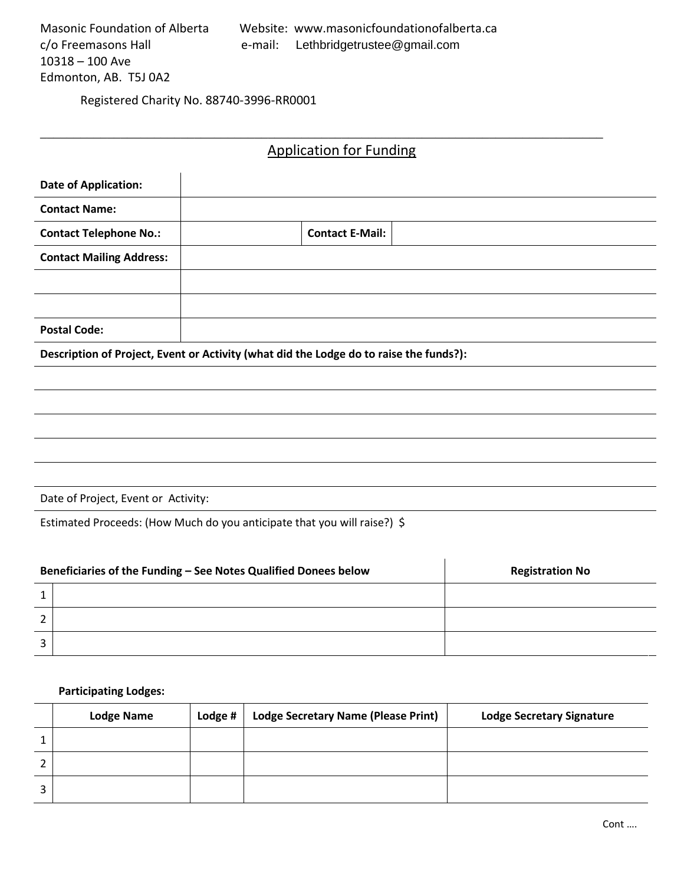Registered Charity No. 88740-3996-RR0001

# Application for Funding

\_\_\_\_\_\_\_\_\_\_\_\_\_\_\_\_\_\_\_\_\_\_\_\_\_\_\_\_\_\_\_\_\_\_\_\_\_\_\_\_\_\_\_\_\_\_\_\_\_\_\_\_\_\_\_\_\_\_\_\_\_\_\_\_\_\_\_\_\_\_\_\_\_\_\_\_\_\_\_\_\_\_\_\_

| <b>Date of Application:</b>                                                            |  |                        |  |  |  |
|----------------------------------------------------------------------------------------|--|------------------------|--|--|--|
| <b>Contact Name:</b>                                                                   |  |                        |  |  |  |
| <b>Contact Telephone No.:</b>                                                          |  | <b>Contact E-Mail:</b> |  |  |  |
| <b>Contact Mailing Address:</b>                                                        |  |                        |  |  |  |
|                                                                                        |  |                        |  |  |  |
|                                                                                        |  |                        |  |  |  |
| <b>Postal Code:</b>                                                                    |  |                        |  |  |  |
| Description of Project, Event or Activity (what did the Lodge do to raise the funds?): |  |                        |  |  |  |
|                                                                                        |  |                        |  |  |  |
|                                                                                        |  |                        |  |  |  |
|                                                                                        |  |                        |  |  |  |
|                                                                                        |  |                        |  |  |  |
|                                                                                        |  |                        |  |  |  |
|                                                                                        |  |                        |  |  |  |

Estimated Proceeds: (How Much do you anticipate that you will raise?) \$

| Beneficiaries of the Funding - See Notes Qualified Donees below |  | <b>Registration No</b> |
|-----------------------------------------------------------------|--|------------------------|
|                                                                 |  |                        |
| $\overline{2}$                                                  |  |                        |
| 3                                                               |  |                        |

## **Participating Lodges:**

|   | <b>Lodge Name</b> | Lodge # | <b>Lodge Secretary Name (Please Print)</b> | <b>Lodge Secretary Signature</b> |
|---|-------------------|---------|--------------------------------------------|----------------------------------|
|   |                   |         |                                            |                                  |
| ◠ |                   |         |                                            |                                  |
| ς |                   |         |                                            |                                  |